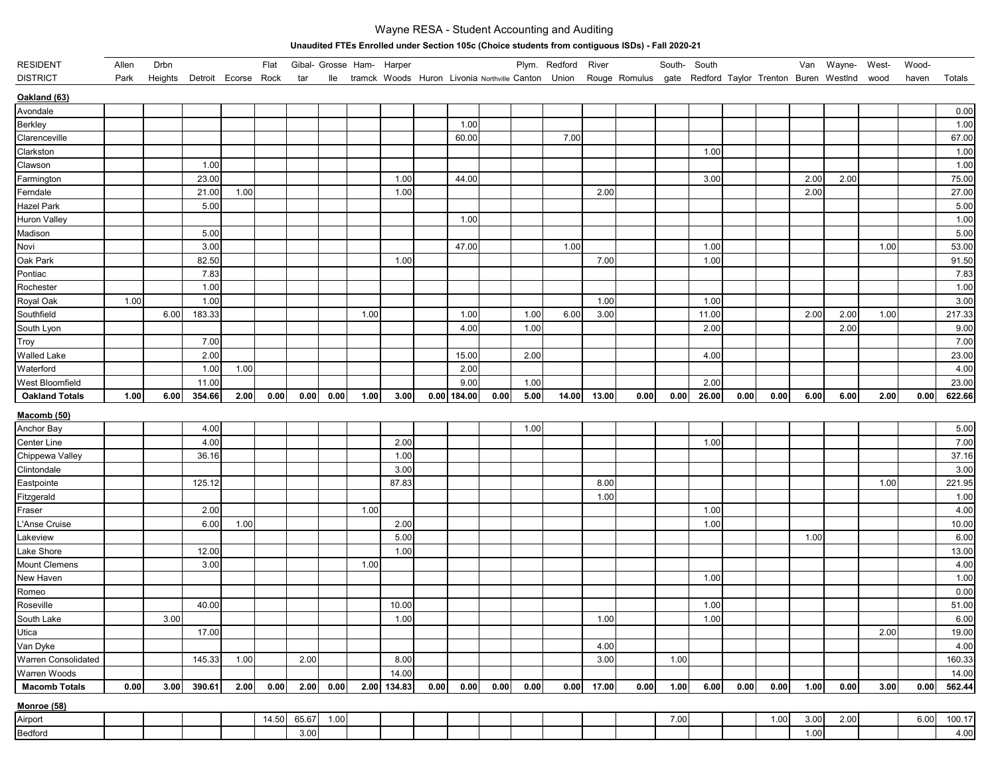## Wayne RESA - Student Accounting and Auditing

**Unaudited FTEs Enrolled under Section 105c (Choice students from contiguous ISDs) - Fall 2020-21** 

| <b>RESIDENT</b>       | Allen | Drbn |                             |      | Flat  |       |      | Gibal- Grosse Ham- Harper |             |      |               |      |      | Plym. Redford River |        |                                                                                                                     | South- South |       |      |      |      | Van Wayne- West- |      | Wood- |        |
|-----------------------|-------|------|-----------------------------|------|-------|-------|------|---------------------------|-------------|------|---------------|------|------|---------------------|--------|---------------------------------------------------------------------------------------------------------------------|--------------|-------|------|------|------|------------------|------|-------|--------|
| <b>DISTRICT</b>       | Park  |      | Heights Detroit Ecorse Rock |      |       | tar   |      |                           |             |      |               |      |      |                     |        | Ile tramck Woods Huron Livonia Northville Canton Union Rouge Romulus gate Redford Taylor Trenton Buren Westlnd wood |              |       |      |      |      |                  |      | haven | Totals |
| Oakland (63)          |       |      |                             |      |       |       |      |                           |             |      |               |      |      |                     |        |                                                                                                                     |              |       |      |      |      |                  |      |       |        |
| Avondale              |       |      |                             |      |       |       |      |                           |             |      |               |      |      |                     |        |                                                                                                                     |              |       |      |      |      |                  |      |       | 0.00   |
| Berkley               |       |      |                             |      |       |       |      |                           |             |      | 1.00          |      |      |                     |        |                                                                                                                     |              |       |      |      |      |                  |      |       | 1.00   |
| Clarenceville         |       |      |                             |      |       |       |      |                           |             |      | 60.00         |      |      | 7.00                |        |                                                                                                                     |              |       |      |      |      |                  |      |       | 67.00  |
| Clarkston             |       |      |                             |      |       |       |      |                           |             |      |               |      |      |                     |        |                                                                                                                     |              | 1.00  |      |      |      |                  |      |       | 1.00   |
| Clawson               |       |      | 1.00                        |      |       |       |      |                           |             |      |               |      |      |                     |        |                                                                                                                     |              |       |      |      |      |                  |      |       | 1.00   |
| Farmington            |       |      | 23.00                       |      |       |       |      |                           | 1.00        |      | 44.00         |      |      |                     |        |                                                                                                                     |              | 3.00  |      |      | 2.00 | 2.00             |      |       | 75.00  |
| Ferndale              |       |      | 21.00                       | 1.00 |       |       |      |                           | 1.00        |      |               |      |      |                     | 2.00   |                                                                                                                     |              |       |      |      | 2.00 |                  |      |       | 27.00  |
| <b>Hazel Park</b>     |       |      | 5.00                        |      |       |       |      |                           |             |      |               |      |      |                     |        |                                                                                                                     |              |       |      |      |      |                  |      |       | 5.00   |
| Huron Valley          |       |      |                             |      |       |       |      |                           |             |      | 1.00          |      |      |                     |        |                                                                                                                     |              |       |      |      |      |                  |      |       | 1.00   |
| Madison               |       |      | 5.00                        |      |       |       |      |                           |             |      |               |      |      |                     |        |                                                                                                                     |              |       |      |      |      |                  |      |       | 5.00   |
| Novi                  |       |      | 3.00                        |      |       |       |      |                           |             |      | 47.00         |      |      | 1.00                |        |                                                                                                                     |              | 1.00  |      |      |      |                  | 1.00 |       | 53.00  |
| Oak Park              |       |      | 82.50                       |      |       |       |      |                           | 1.00        |      |               |      |      |                     | 7.00   |                                                                                                                     |              | 1.00  |      |      |      |                  |      |       | 91.50  |
| Pontiac               |       |      | 7.83                        |      |       |       |      |                           |             |      |               |      |      |                     |        |                                                                                                                     |              |       |      |      |      |                  |      |       | 7.83   |
| Rochester             |       |      | 1.00                        |      |       |       |      |                           |             |      |               |      |      |                     |        |                                                                                                                     |              |       |      |      |      |                  |      |       | 1.00   |
| Royal Oak             | 1.00  |      | 1.00                        |      |       |       |      |                           |             |      |               |      |      |                     | 1.00   |                                                                                                                     |              | 1.00  |      |      |      |                  |      |       | 3.00   |
| Southfield            |       | 6.00 | 183.33                      |      |       |       |      | 1.00                      |             |      | 1.00          |      | 1.00 | 6.00                | 3.00   |                                                                                                                     |              | 11.00 |      |      | 2.00 | 2.00             | 1.00 |       | 217.33 |
| South Lyon            |       |      |                             |      |       |       |      |                           |             |      | 4.00          |      | 1.00 |                     |        |                                                                                                                     |              | 2.00  |      |      |      | 2.00             |      |       | 9.00   |
| Troy                  |       |      | 7.00                        |      |       |       |      |                           |             |      |               |      |      |                     |        |                                                                                                                     |              |       |      |      |      |                  |      |       | 7.00   |
| Walled Lake           |       |      | 2.00                        |      |       |       |      |                           |             |      | 15.00         |      | 2.00 |                     |        |                                                                                                                     |              | 4.00  |      |      |      |                  |      |       | 23.00  |
| Waterford             |       |      | 1.00                        | 1.00 |       |       |      |                           |             |      | 2.00          |      |      |                     |        |                                                                                                                     |              |       |      |      |      |                  |      |       | 4.00   |
| West Bloomfield       |       |      | 11.00                       |      |       |       |      |                           |             |      | 9.00          |      | 1.00 |                     |        |                                                                                                                     |              | 2.00  |      |      |      |                  |      |       | 23.00  |
| <b>Oakland Totals</b> | 1.00  | 6.00 | 354.66                      | 2.00 | 0.00  | 0.00  | 0.00 | 1.00                      | 3.00        |      | $0.00$ 184.00 | 0.00 | 5.00 | 14.00               | 13.00  | 0.00                                                                                                                | 0.00         | 26.00 | 0.00 | 0.00 | 6.00 | 6.00             | 2.00 | 0.00  | 622.66 |
| <u>Macomb (50)</u>    |       |      |                             |      |       |       |      |                           |             |      |               |      |      |                     |        |                                                                                                                     |              |       |      |      |      |                  |      |       |        |
| Anchor Bay            |       |      | 4.00                        |      |       |       |      |                           |             |      |               |      | 1.00 |                     |        |                                                                                                                     |              |       |      |      |      |                  |      |       | 5.00   |
| Center Line           |       |      | 4.00                        |      |       |       |      |                           | 2.00        |      |               |      |      |                     |        |                                                                                                                     |              | 1.00  |      |      |      |                  |      |       | 7.00   |
| Chippewa Valley       |       |      | 36.16                       |      |       |       |      |                           | 1.00        |      |               |      |      |                     |        |                                                                                                                     |              |       |      |      |      |                  |      |       | 37.16  |
| Clintondale           |       |      |                             |      |       |       |      |                           | 3.00        |      |               |      |      |                     |        |                                                                                                                     |              |       |      |      |      |                  |      |       | 3.00   |
| Eastpointe            |       |      | 125.12                      |      |       |       |      |                           | 87.83       |      |               |      |      |                     | 8.00   |                                                                                                                     |              |       |      |      |      |                  | 1.00 |       | 221.95 |
| Fitzgerald            |       |      |                             |      |       |       |      |                           |             |      |               |      |      |                     | 1.00   |                                                                                                                     |              |       |      |      |      |                  |      |       | 1.00   |
| Fraser                |       |      | 2.00                        |      |       |       |      | 1.00                      |             |      |               |      |      |                     |        |                                                                                                                     |              | 1.00  |      |      |      |                  |      |       | 4.00   |
| L'Anse Cruise         |       |      | 6.00                        | 1.00 |       |       |      |                           | 2.00        |      |               |      |      |                     |        |                                                                                                                     |              | 1.00  |      |      |      |                  |      |       | 10.00  |
| Lakeview              |       |      |                             |      |       |       |      |                           | 5.00        |      |               |      |      |                     |        |                                                                                                                     |              |       |      |      | 1.00 |                  |      |       | 6.00   |
| Lake Shore            |       |      | 12.00                       |      |       |       |      |                           | 1.00        |      |               |      |      |                     |        |                                                                                                                     |              |       |      |      |      |                  |      |       | 13.00  |
| <b>Mount Clemens</b>  |       |      | 3.00                        |      |       |       |      | 1.00                      |             |      |               |      |      |                     |        |                                                                                                                     |              |       |      |      |      |                  |      |       | 4.00   |
| New Haven             |       |      |                             |      |       |       |      |                           |             |      |               |      |      |                     |        |                                                                                                                     |              | 1.00  |      |      |      |                  |      |       | 1.00   |
| Romeo                 |       |      |                             |      |       |       |      |                           |             |      |               |      |      |                     |        |                                                                                                                     |              |       |      |      |      |                  |      |       | 0.00   |
| Roseville             |       |      | 40.00                       |      |       |       |      |                           | 10.00       |      |               |      |      |                     |        |                                                                                                                     |              | 1.00  |      |      |      |                  |      |       | 51.00  |
| South Lake            |       | 3.00 |                             |      |       |       |      |                           | 1.00        |      |               |      |      |                     | $1.00$ |                                                                                                                     |              | 1.00  |      |      |      |                  |      |       | 6.00   |
| Utica                 |       |      | 17.00                       |      |       |       |      |                           |             |      |               |      |      |                     |        |                                                                                                                     |              |       |      |      |      |                  | 2.00 |       | 19.00  |
| Van Dyke              |       |      |                             |      |       |       |      |                           |             |      |               |      |      |                     | 4.00   |                                                                                                                     |              |       |      |      |      |                  |      |       | 4.00   |
| Warren Consolidated   |       |      | 145.33                      | 1.00 |       | 2.00  |      |                           | 8.00        |      |               |      |      |                     | 3.00   |                                                                                                                     | 1.00         |       |      |      |      |                  |      |       | 160.33 |
| Warren Woods          |       |      |                             |      |       |       |      |                           | 14.00       |      |               |      |      |                     |        |                                                                                                                     |              |       |      |      |      |                  |      |       | 14.00  |
| <b>Macomb Totals</b>  | 0.00  | 3.00 | 390.61                      | 2.00 | 0.00  | 2.00  | 0.00 |                           | 2.00 134.83 | 0.00 | 0.00          | 0.00 | 0.00 | 0.00                | 17.00  | 0.00                                                                                                                | 1.00         | 6.00  | 0.00 | 0.00 | 1.00 | 0.00             | 3.00 | 0.00  | 562.44 |
| <b>Monroe</b> (58)    |       |      |                             |      |       |       |      |                           |             |      |               |      |      |                     |        |                                                                                                                     |              |       |      |      |      |                  |      |       |        |
| Airport               |       |      |                             |      | 14.50 | 65.67 | 1.00 |                           |             |      |               |      |      |                     |        |                                                                                                                     | 7.00         |       |      | 1.00 | 3.00 | 2.00             |      | 6.00  | 100.17 |
| Bedford               |       |      |                             |      |       | 3.00  |      |                           |             |      |               |      |      |                     |        |                                                                                                                     |              |       |      |      | 1.00 |                  |      |       | 4.00   |